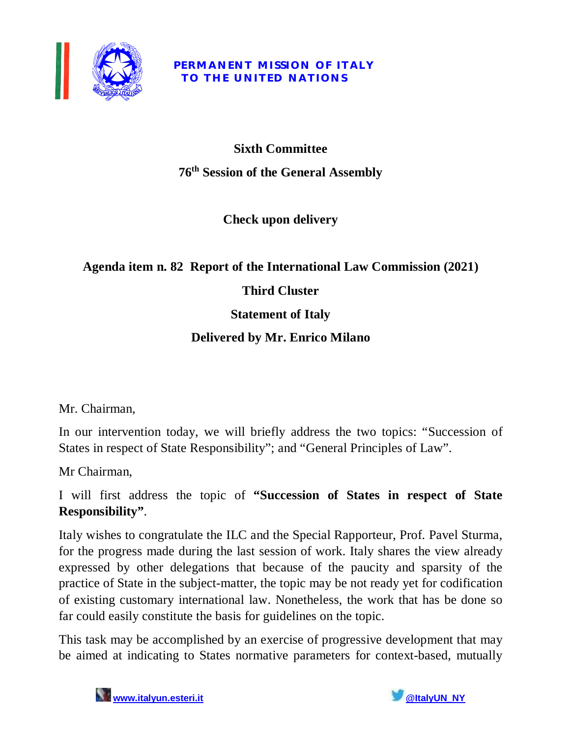

#### **PERMANENT MISSION OF ITALY TO THE UNITED NATIONS**

# **Sixth Committee 76 th Session of the General Assembly**

## **Check upon delivery**

## **Agenda item n. 82 Report of the International Law Commission (2021)**

## **Third Cluster**

## **Statement of Italy**

## **Delivered by Mr. Enrico Milano**

Mr. Chairman,

In our intervention today, we will briefly address the two topics: "Succession of States in respect of State Responsibility"; and "General Principles of Law".

Mr Chairman,

#### I will first address the topic of **"Succession of States in respect of State Responsibility"**.

Italy wishes to congratulate the ILC and the Special Rapporteur, Prof. Pavel Sturma, for the progress made during the last session of work. Italy shares the view already expressed by other delegations that because of the paucity and sparsity of the practice of State in the subject-matter, the topic may be not ready yet for codification of existing customary international law. Nonetheless, the work that has be done so far could easily constitute the basis for guidelines on the topic.

This task may be accomplished by an exercise of progressive development that may be aimed at indicating to States normative parameters for context-based, mutually

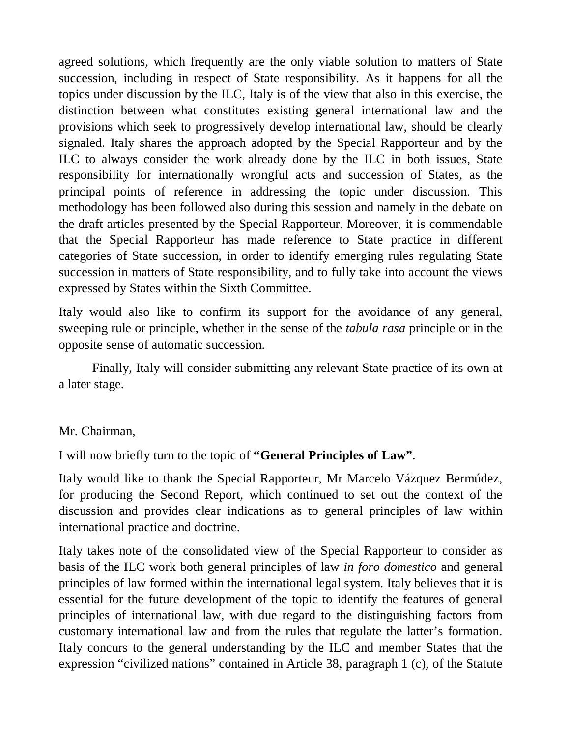agreed solutions, which frequently are the only viable solution to matters of State succession, including in respect of State responsibility. As it happens for all the topics under discussion by the ILC, Italy is of the view that also in this exercise, the distinction between what constitutes existing general international law and the provisions which seek to progressively develop international law, should be clearly signaled. Italy shares the approach adopted by the Special Rapporteur and by the ILC to always consider the work already done by the ILC in both issues, State responsibility for internationally wrongful acts and succession of States, as the principal points of reference in addressing the topic under discussion. This methodology has been followed also during this session and namely in the debate on the draft articles presented by the Special Rapporteur. Moreover, it is commendable that the Special Rapporteur has made reference to State practice in different categories of State succession, in order to identify emerging rules regulating State succession in matters of State responsibility, and to fully take into account the views expressed by States within the Sixth Committee.

Italy would also like to confirm its support for the avoidance of any general, sweeping rule or principle, whether in the sense of the *tabula rasa* principle or in the opposite sense of automatic succession.

Finally, Italy will consider submitting any relevant State practice of its own at a later stage.

#### Mr. Chairman,

I will now briefly turn to the topic of **"General Principles of Law"**.

Italy would like to thank the Special Rapporteur, Mr Marcelo Vázquez Bermúdez, for producing the Second Report, which continued to set out the context of the discussion and provides clear indications as to general principles of law within international practice and doctrine.

Italy takes note of the consolidated view of the Special Rapporteur to consider as basis of the ILC work both general principles of law *in foro domestico* and general principles of law formed within the international legal system. Italy believes that it is essential for the future development of the topic to identify the features of general principles of international law, with due regard to the distinguishing factors from customary international law and from the rules that regulate the latter's formation. Italy concurs to the general understanding by the ILC and member States that the expression "civilized nations" contained in Article 38, paragraph 1 (c), of the Statute